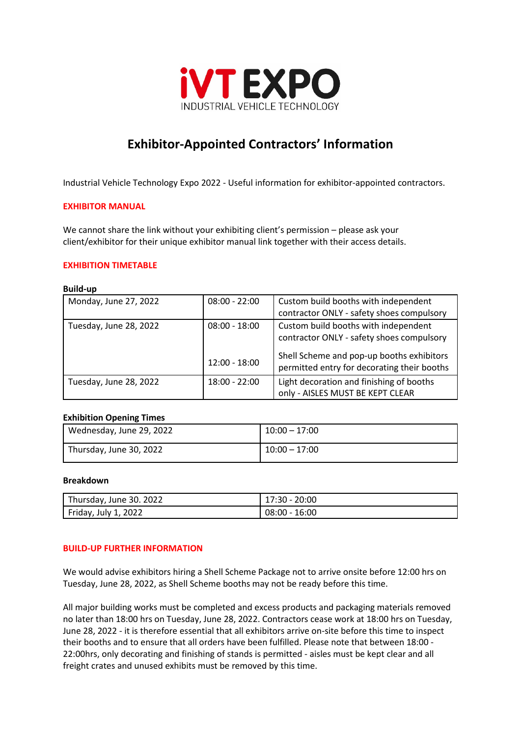

# **Exhibitor-Appointed Contractors' Information**

Industrial Vehicle Technology Expo 2022 - Useful information for exhibitor-appointed contractors.

#### **EXHIBITOR MANUAL**

We cannot share the link without your exhibiting client's permission – please ask your client/exhibitor for their unique exhibitor manual link together with their access details.

## **EXHIBITION TIMETABLE**

#### **Build-up**

| Monday, June 27, 2022  | $08:00 - 22:00$ | Custom build booths with independent                                                     |
|------------------------|-----------------|------------------------------------------------------------------------------------------|
|                        |                 | contractor ONLY - safety shoes compulsory                                                |
| Tuesday, June 28, 2022 | $08:00 - 18:00$ | Custom build booths with independent<br>contractor ONLY - safety shoes compulsory        |
|                        | $12:00 - 18:00$ | Shell Scheme and pop-up booths exhibitors<br>permitted entry for decorating their booths |
| Tuesday, June 28, 2022 | $18:00 - 22:00$ | Light decoration and finishing of booths<br>only - AISLES MUST BE KEPT CLEAR             |

#### **Exhibition Opening Times**

| Wednesday, June 29, 2022 | $10:00 - 17:00$ |
|--------------------------|-----------------|
| Thursday, June 30, 2022  | $10:00 - 17:00$ |

### **Breakdown**

| Thursday, June 30. 2022 | 17:30 - 20:00   |
|-------------------------|-----------------|
| Friday, July 1, 2022    | $08:00 - 16:00$ |

## **BUILD-UP FURTHER INFORMATION**

We would advise exhibitors hiring a Shell Scheme Package not to arrive onsite before 12:00 hrs on Tuesday, June 28, 2022, as Shell Scheme booths may not be ready before this time.

All major building works must be completed and excess products and packaging materials removed no later than 18:00 hrs on Tuesday, June 28, 2022. Contractors cease work at 18:00 hrs on Tuesday, June 28, 2022 - it is therefore essential that all exhibitors arrive on-site before this time to inspect their booths and to ensure that all orders have been fulfilled. Please note that between 18:00 - 22:00hrs, only decorating and finishing of stands is permitted - aisles must be kept clear and all freight crates and unused exhibits must be removed by this time.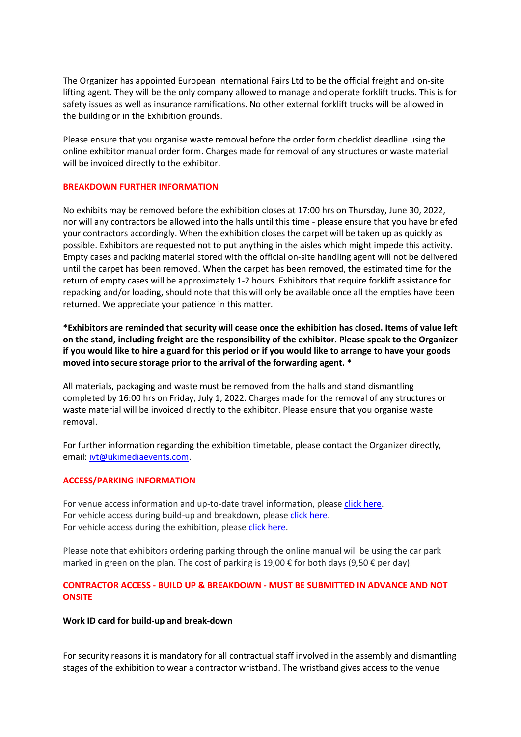The Organizer has appointed European International Fairs Ltd to be the official freight and on-site lifting agent. They will be the only company allowed to manage and operate forklift trucks. This is for safety issues as well as insurance ramifications. No other external forklift trucks will be allowed in the building or in the Exhibition grounds.

Please ensure that you organise waste removal before the order form checklist deadline using the online exhibitor manual order form. Charges made for removal of any structures or waste material will be invoiced directly to the exhibitor.

## **BREAKDOWN FURTHER INFORMATION**

No exhibits may be removed before the exhibition closes at 17:00 hrs on Thursday, June 30, 2022, nor will any contractors be allowed into the halls until this time - please ensure that you have briefed your contractors accordingly. When the exhibition closes the carpet will be taken up as quickly as possible. Exhibitors are requested not to put anything in the aisles which might impede this activity. Empty cases and packing material stored with the official on-site handling agent will not be delivered until the carpet has been removed. When the carpet has been removed, the estimated time for the return of empty cases will be approximately 1-2 hours. Exhibitors that require forklift assistance for repacking and/or loading, should note that this will only be available once all the empties have been returned. We appreciate your patience in this matter.

**\*Exhibitors are reminded that security will cease once the exhibition has closed. Items of value left on the stand, including freight are the responsibility of the exhibitor. Please speak to the Organizer if you would like to hire a guard for this period or if you would like to arrange to have your goods moved into secure storage prior to the arrival of the forwarding agent. \***

All materials, packaging and waste must be removed from the halls and stand dismantling completed by 16:00 hrs on Friday, July 1, 2022. Charges made for the removal of any structures or waste material will be invoiced directly to the exhibitor. Please ensure that you organise waste removal.

For further information regarding the exhibition timetable, please contact the Organizer directly, email: [ivt@ukimediaevents.com.](mailto:ivt@ukimediaevents.com)

#### **ACCESS/PARKING INFORMATION**

For venue access information and up-to-date travel information, please [click here.](https://www.koelnmesse.com/location-and-services/travel-and-accomodation/arrival/) For vehicle access during build-up and breakdown, please [click here.](https://secure.ukimediaevents.com/exhib-world/documents/IVT22EX/VLP_iVT_Expo_Aufbau.pdf) For vehicle access during the exhibition, please [click here.](https://secure.ukimediaevents.com/exhib-world/documents/IVT22EX/VLP_IVT_Showdays.pdf)

Please note that exhibitors ordering parking through the online manual will be using the car park marked in green on the plan. The cost of parking is 19,00  $\epsilon$  for both days (9,50  $\epsilon$  per day).

## **CONTRACTOR ACCESS - BUILD UP & BREAKDOWN - MUST BE SUBMITTED IN ADVANCE AND NOT ONSITE**

#### **Work ID card for build-up and break-down**

For security reasons it is mandatory for all contractual staff involved in the assembly and dismantling stages of the exhibition to wear a contractor wristband. The wristband gives access to the venue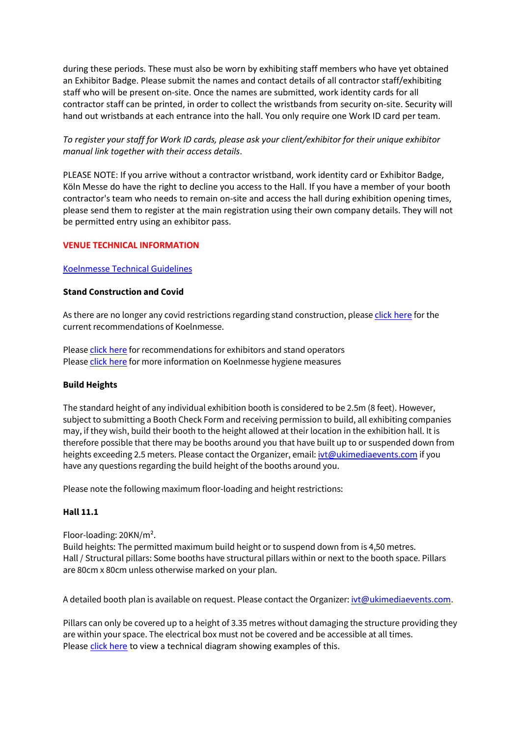during these periods. These must also be worn by exhibiting staff members who have yet obtained an Exhibitor Badge. Please submit the names and contact details of all contractor staff/exhibiting staff who will be present on-site. Once the names are submitted, work identity cards for all contractor staff can be printed, in order to collect the wristbands from security on-site. Security will hand out wristbands at each entrance into the hall. You only require one Work ID card per team.

# *To register your staff for Work ID cards, please ask your client/exhibitor for their unique exhibitor manual link together with their access details*.

PLEASE NOTE: If you arrive without a contractor wristband, work identity card or Exhibitor Badge, Köln Messe do have the right to decline you access to the Hall. If you have a member of your booth contractor's team who needs to remain on-site and access the hall during exhibition opening times, please send them to register at the main registration using their own company details. They will not be permitted entry using an exhibitor pass.

# **VENUE TECHNICAL INFORMATION**

## [Koelnmesse Technical Guidelines](https://secure.ukimediaevents.com/exhib-world/documents/PMW21EX/technische-richtlinien_en.pdf)

# **Stand Construction and Covid**

As there are no longer any covid restrictions regarding stand construction, please [click here](https://www.koelnmesse.com/covid/) for the current recommendations of Koelnmesse.

Please [click here](https://secure.ukimediaevents.com/exhib-world/documents/IVT22EX/km22_restart_b-safe_standbau_hinweise_de.pdf) for recommendations for exhibitors and stand operators Please [click here](https://secure.ukimediaevents.com/exhib-world/documents/IVT22EX/km22_restart_b-safe_onepager_de.pdf) for more information on Koelnmesse hygiene measures

## **Build Heights**

The standard height of any individual exhibition booth is considered to be 2.5m (8 feet). However, subject to submitting a Booth Check Form and receiving permission to build, all exhibiting companies may, if they wish, build their booth to the height allowed at their location in the exhibition hall. It is therefore possible that there may be booths around you that have built up to or suspended down from heights exceeding 2.5 meters. Please contact the Organizer, email: [ivt@ukimediaevents.com](mailto:ivt@ukimediaevents.com) if you have any questions regarding the build height of the booths around you.

Please note the following maximum floor-loading and height restrictions:

## **Hall 11.1**

Floor-loading: 20KN/m².

Build heights: The permitted maximum build height or to suspend down from is 4,50 metres. Hall / Structural pillars: Some booths have structural pillars within or next to the booth space. Pillars are 80cm x 80cm unless otherwise marked on your plan.

A detailed booth plan is available on request. Please contact the Organizer: [ivt@ukimediaevents.com.](mailto:ivt@ukimediaevents.com)

Pillars can only be covered up to a height of 3.35 metres without damaging the structure providing they are within your space. The electrical box must not be covered and be accessible at all times. Please [click here](https://secure.ukimediaevents.com/exhib-world/documents/IVT22EX/Hallenstuetze_mit_Anbauten_Hall%20Pillar%20with%20Annexes_200220.pdf) to view a technical diagram showing examples of this.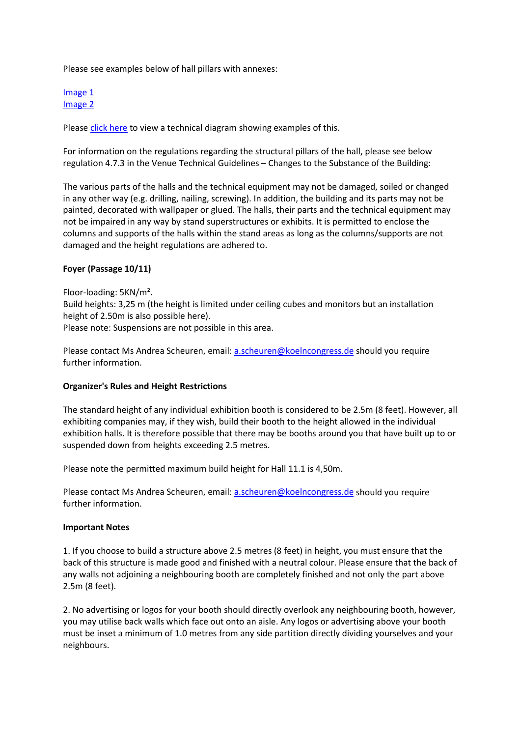Please see examples below of hall pillars with annexes:

#### [Image 1](https://secure.ukimediaevents.com/exhib-world/documents/IVT22EX/20220331_110712.jpg) [Image 2](https://secure.ukimediaevents.com/exhib-world/documents/IVT22EX/20220331_110735.jpg)

Please [click here](https://secure.ukimediaevents.com/exhib-world/documents/IVT22EX/Hallenstuetze_mit_Anbauten_Hall%20Pillar%20with%20Annexes_200220.pdf) to view a technical diagram showing examples of this.

For information on the regulations regarding the structural pillars of the hall, please see below regulation 4.7.3 in the Venue Technical Guidelines – Changes to the Substance of the Building:

The various parts of the halls and the technical equipment may not be damaged, soiled or changed in any other way (e.g. drilling, nailing, screwing). In addition, the building and its parts may not be painted, decorated with wallpaper or glued. The halls, their parts and the technical equipment may not be impaired in any way by stand superstructures or exhibits. It is permitted to enclose the columns and supports of the halls within the stand areas as long as the columns/supports are not damaged and the height regulations are adhered to.

## **Foyer (Passage 10/11)**

Floor-loading: 5KN/m².

Build heights: 3,25 m (the height is limited under ceiling cubes and monitors but an installation height of 2.50m is also possible here).

Please note: Suspensions are not possible in this area.

Please contact Ms Andrea Scheuren, email: [a.scheuren@koelncongress.de](mailto:a.scheuren@koelncongress.de) should you require further information.

## **Organizer's Rules and Height Restrictions**

The standard height of any individual exhibition booth is considered to be 2.5m (8 feet). However, all exhibiting companies may, if they wish, build their booth to the height allowed in the individual exhibition halls. It is therefore possible that there may be booths around you that have built up to or suspended down from heights exceeding 2.5 metres.

Please note the permitted maximum build height for Hall 11.1 is 4,50m.

Please contact Ms Andrea Scheuren, email: [a.scheuren@koelncongress.de](mailto:a.scheuren@koelncongress.de) should you require further information.

#### **Important Notes**

1. If you choose to build a structure above 2.5 metres (8 feet) in height, you must ensure that the back of this structure is made good and finished with a neutral colour. Please ensure that the back of any walls not adjoining a neighbouring booth are completely finished and not only the part above 2.5m (8 feet).

2. No advertising or logos for your booth should directly overlook any neighbouring booth, however, you may utilise back walls which face out onto an aisle. Any logos or advertising above your booth must be inset a minimum of 1.0 metres from any side partition directly dividing yourselves and your neighbours.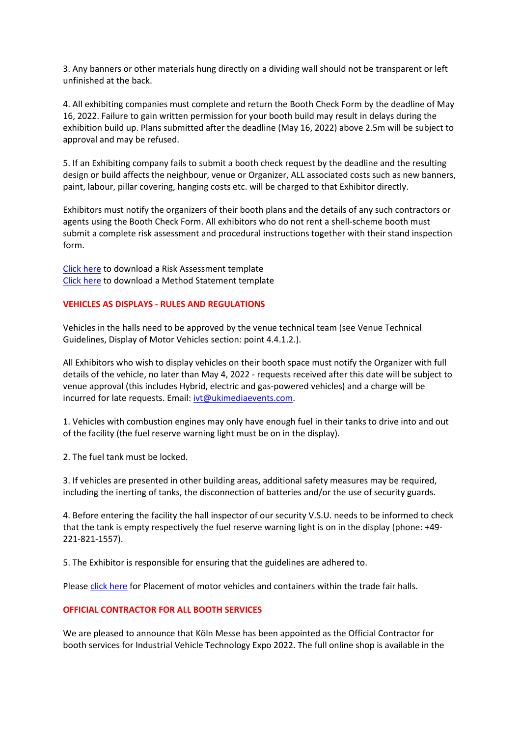3. Any banners or other materials hung directly on a dividing wall should not be transparent or left unfinished at the back.

4. All exhibiting companies must complete and return the Booth Check Form by the deadline of May 16, 2022. Failure to gain written permission for your booth build may result in delays during the exhibition build up. Plans submitted after the deadline (May 16, 2022) above 2.5m will be subject to approval and may be refused.

5. If an Exhibiting company fails to submit a booth check request by the deadline and the resulting design or build affects the neighbour, venue or Organizer, ALL associated costs such as new banners, paint, labour, pillar covering, hanging costs etc. will be charged to that Exhibitor directly.

Exhibitors must notify the organizers of their booth plans and the details of any such contractors or agents using the Booth Check Form. All exhibitors who do not rent a shell-scheme booth must submit a complete risk assessment and procedural instructions together with their stand inspection form.

[Click here](https://secure.ukimediaevents.com/exhib-world/documents/Risk%20Assessment_no%20logo.doc) to download a Risk Assessment template [Click here](https://secure.ukimediaevents.com/exhib-world/documents/Method%20Statement_no%20logo.docx) to download a Method Statement template

#### **VEHICLES AS DISPLAYS - RULES AND REGULATIONS**

Vehicles in the halls need to be approved by the venue technical team (see Venue Technical Guidelines, Display of Motor Vehicles section: point 4.4.1.2.).

All Exhibitors who wish to display vehicles on their booth space must notify the Organizer with full details of the vehicle, no later than May 4, 2022 - requests received after this date will be subject to venue approval (this includes Hybrid, electric and gas-powered vehicles) and a charge will be incurred for late requests. Email: [ivt@ukimediaevents.com.](mailto:ivt@ukimediaevents.com)

1. Vehicles with combustion engines may only have enough fuel in their tanks to drive into and out of the facility (the fuel reserve warning light must be on in the display).

2. The fuel tank must be locked.

3. If vehicles are presented in other building areas, additional safety measures may be required, including the inerting of tanks, the disconnection of batteries and/or the use of security guards.

4. Before entering the facility the hall inspector of our security V.S.U. needs to be informed to check that the tank is empty respectively the fuel reserve warning light is on in the display (phone: +49- 221-821-1557).

5. The Exhibitor is responsible for ensuring that the guidelines are adhered to.

Please [click here](https://secure.ukimediaevents.com/exhib-world/documents/IVT22EX/Ib%2005.01%20Placement%20of%20motor%20vehicles%20and%20containers%20within%20the%20trade%20fair%20halls%2001-04-2021%20GB.pdf) for Placement of motor vehicles and containers within the trade fair halls.

## **OFFICIAL CONTRACTOR FOR ALL BOOTH SERVICES**

We are pleased to announce that Köln Messe has been appointed as the Official Contractor for booth services for Industrial Vehicle Technology Expo 2022. The full online shop is available in the